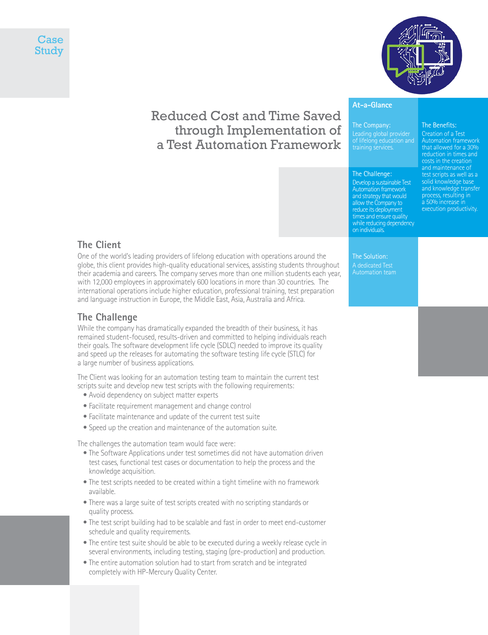



# Reduced Cost and Time Saved through Implementation of a Test Automation Framework

## The Benefits:

The Company:

#### The Challenge:

**At-a-Glance**

Develop a sustainable Test Automation framework and strategy that would allow the Company to reduce its deployment times and ensure quality while reducing dependency on individuals.

#### Creation of a Test that allowed for a 30% reduction in times and costs in the creation and maintenance of test scripts as well as a solid knowledge base and knowledge transfer process, resulting in a 50% increase in

execution productivity.

**The Client**

One of the world's leading providers of lifelong education with operations around the globe, this client provides high-quality educational services, assisting students throughout their academia and careers. The company serves more than one million students each year, with 12,000 employees in approximately 600 locations in more than 30 countries. The international operations include higher education, professional training, test preparation and language instruction in Europe, the Middle East, Asia, Australia and Africa.

#### **The Challenge**

While the company has dramatically expanded the breadth of their business, it has remained student-focused, results-driven and committed to helping individuals reach their goals. The software development life cycle (SDLC) needed to improve its quality and speed up the releases for automating the software testing life cycle (STLC) for a large number of business applications.

The Client was looking for an automation testing team to maintain the current test scripts suite and develop new test scripts with the following requirements:

- Avoid dependency on subject matter experts
- Facilitate requirement management and change control
- Facilitate maintenance and update of the current test suite
- Speed up the creation and maintenance of the automation suite.

The challenges the automation team would face were:

- The Software Applications under test sometimes did not have automation driven test cases, functional test cases or documentation to help the process and the knowledge acquisition.
- The test scripts needed to be created within a tight timeline with no framework available.
- There was a large suite of test scripts created with no scripting standards or quality process.
- The test script building had to be scalable and fast in order to meet end-customer schedule and quality requirements.
- The entire test suite should be able to be executed during a weekly release cycle in several environments, including testing, staging (pre-production) and production.
- The entire automation solution had to start from scratch and be integrated completely with HP-Mercury Quality Center.

The Solution: A dedicated Test